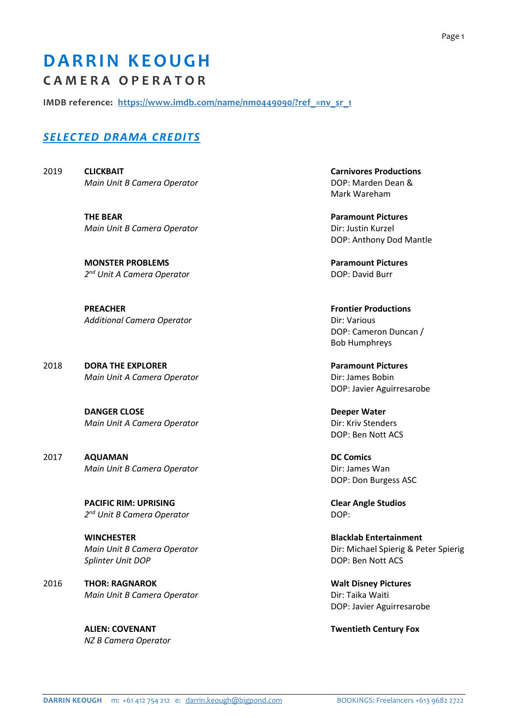## **DARRIN KEOUGH C A M E R A O P E R A T O R**

**IMDB reference: https://www.imdb.com/name/nm0449090/?ref\_=nv\_sr\_1**

## *SELECTED DRAMA CREDITS*

2019 **CLICKBAIT Carnivores Productions**  *Main Unit B Camera Operator*  $\rho$  **DOP: Marden Dean &** 

> **THE BEAR PARAMOUNT PICTURES IN A PARAMOUNT PICTURES Main Unit B Camera Operator Direct Contract Contract Contract Contract Contract Contract Contract Contract Contract Contract Contract Contract Contract Contract Contract Contract Contract Contract Contract Contract Cont**

> **MONSTER PROBLEMS Paramount Pictures Paramount Pictures** *2 nd Unit A Camera Operator* DOP: David Burr

> **PREACHER** FROM THE PREACHER FROM THE PREACHER FROM THE PREACHER PRODUCTIONS IN THE PREACHER PRODUCTIONS OF THE PRODUCTIONS OF THE PRODUCTIONS OF THE PRODUCTIONS OF THE PRODUCTIONS OF THE PRODUCTIONS OF THE PRODUCTIONS OF **Additional Camera Operator Dir: Various**

**2018 DORA THE EXPLORER <b>PARAMOUNT PARAMOUNT PARAMOUNT PICTURES** *Main Unit A Camera Operator* **Directs Directs Directs Directs Directs Directs Directs Directs Directs** 

> **DANGER CLOSE DANGER CLOSE** *Main Unit A Camera Operator* **Direction** *Dir: Kriv Stenders*

2017 **AQUAMAN DC Comics** *Main Unit B Camera Operator* **Dirichleries Contained Base** Dir: James Wan

> **PACIFIC RIM: UPRISING Clear Angle Studios** *2 nd Unit B Camera Operator* DOP:

**WINCHESTER Blacklab Entertainment Splinter Unit DOP DOP**: Ben Nott ACS

2016 **THOR: RAGNAROK Walt Disney Pictures** *Main Unit B Camera Operator* **Directs Directs Directs Directs Directs Directs Directs Directs Directs** 

*NZ B Camera Operator* 

Mark Wareham

DOP: Anthony Dod Mantle

 DOP: Cameron Duncan / Bob Humphreys

DOP: Javier Aguirresarobe

DOP: Ben Nott ACS

DOP: Don Burgess ASC

**Main Unit B Camera Operator**  Dir: Michael Spierig & Peter Spierig & Peter Spierig & Peter Spierig

DOP: Javier Aguirresarobe

**ALIEN: COVENANT Twentieth Century Fox**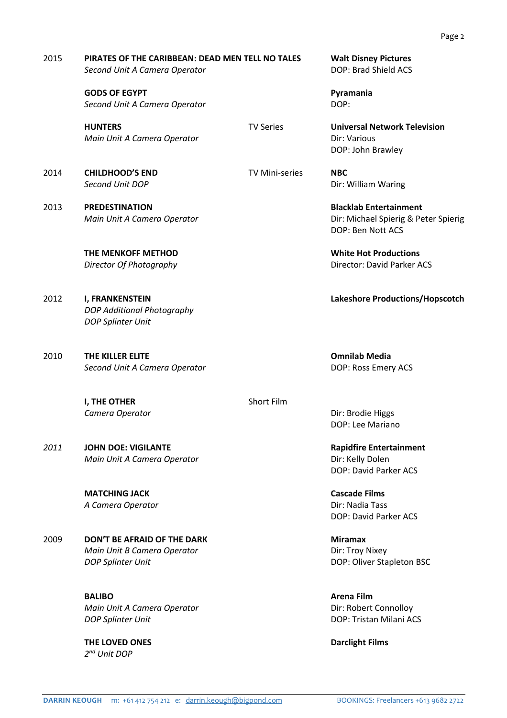## 2015 **PIRATES OF THE CARIBBEAN: DEAD MEN TELL NO TALES Walt Disney Pictures Second Unit A Camera Operator DOP: Brad Shield ACS**

**GODS OF EGYPT Pyramania Second Unit A Camera Operator DOP: DOP: DOP: DOP: DOP: DOP: DOP: DOP: DOP: DOP: DOP: DOP: DOP: DOP: DOP: DOP: DOP: DOP: DOP: DOP: DOP: DOP: DOP: DOP: DOP: DOP: DOP:**

**HUNTERS** TV Series **Universal Network Television** *Main Unit A Camera Operator* **Dir: Various** *Dir: Various* 

2014 **CHILDHOOD'S END** TV Mini-series **NBC** 

2013 **PREDESTINATION Blacklab Entertainment** 

 **THE MENKOFF METHOD White Hot Productions** 

- 2012 **I, FRANKENSTEIN Lakeshore Productions/Hopscotch** *DOP Additional Photography DOP Splinter Unit*
- 2010 **THE KILLER ELITE Omnilab Media** *Second Unit A Camera Operator* DOP: Ross Emery ACS

**I. THE OTHER** Short Film **Camera Operator Camera Operator Dir: Brodie Higgs** 

*2011* **JOHN DOE: VIGILANTE Rapidfire Entertainment**  *Main Unit A Camera Operator* **Dir: Kelly Dolen** 

> **MATCHING JACK Cascade Films**  *A Camera Operator* **Dir: Nadia Tass**

2009 **DON'T BE AFRAID OF THE DARK Miramax**  *Main Unit B Camera Operator* **Direct Example 20 and Direct Properator Direct Properator Direct Properator DOP Splinter Unit**  DOP: Oliver Stapleton BSC

> **BALIBO Arena Film Arena Film Arena Film Arena Film Main Unit A Camera Operator Dir: Robert Connolloy DOP Splinter Unit**  DOP: Tristan Milani ACS

**THE LOVED ONES** Darclight Films *2 nd Unit DOP* 

DOP: John Brawley

**Second Unit DOP Dir: William Waring** 

*Main Unit A Camera Operator* **Directs Directs Directs Directs Directs Directs Directs Directs Directs Directs Directs Directs Directs Directs Directs Directs Directs Directs Directs D** DOP: Ben Nott ACS

**Director Of Photography Director: David Parker ACS** 

DOP: Lee Mariano

DOP: David Parker ACS

DOP: David Parker ACS